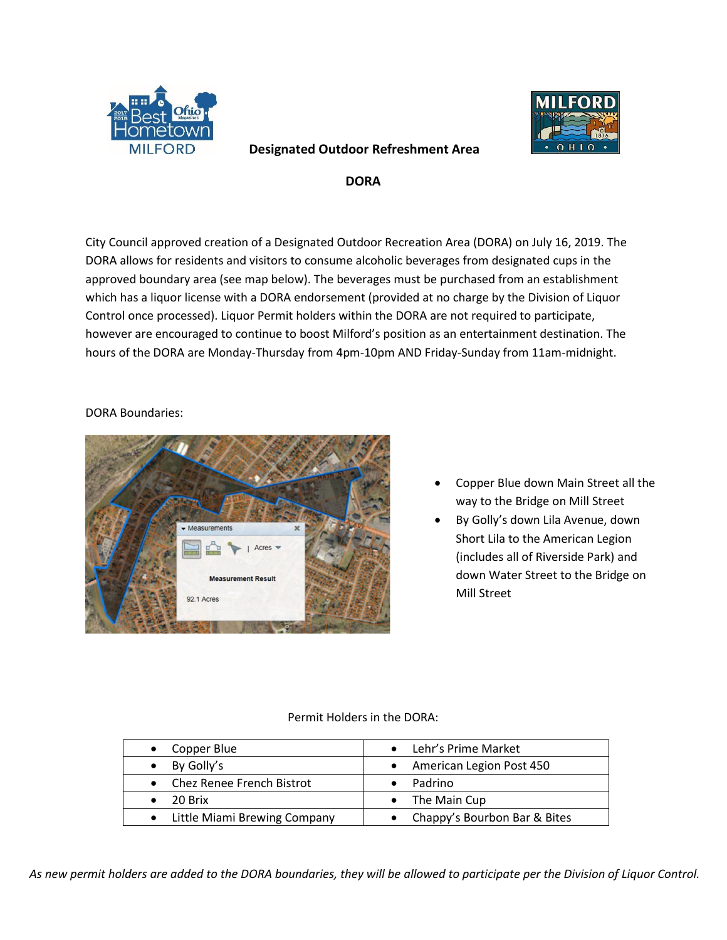

# $\Omega$

## **DORA**

**Designated Outdoor Refreshment Area** 

City Council approved creation of a Designated Outdoor Recreation Area (DORA) on July 16, 2019. The DORA allows for residents and visitors to consume alcoholic beverages from designated cups in the approved boundary area (see map below). The beverages must be purchased from an establishment which has a liquor license with a DORA endorsement (provided at no charge by the Division of Liquor Control once processed). Liquor Permit holders within the DORA are not required to participate, however are encouraged to continue to boost Milford's position as an entertainment destination. The hours of the DORA are Monday-Thursday from 4pm-10pm AND Friday-Sunday from 11am-midnight.

### DORA Boundaries:



- Copper Blue down Main Street all the way to the Bridge on Mill Street
- By Golly's down Lila Avenue, down Short Lila to the American Legion (includes all of Riverside Park) and down Water Street to the Bridge on Mill Street

#### Permit Holders in the DORA:

| $\bullet$ Copper Blue          | • Lehr's Prime Market          |
|--------------------------------|--------------------------------|
| By Golly's                     | • American Legion Post 450     |
| • Chez Renee French Bistrot    | Padrino                        |
| $\bullet$ 20 Brix              | $\bullet$ The Main Cup         |
| • Little Miami Brewing Company | • Chappy's Bourbon Bar & Bites |

*As new permit holders are added to the DORA boundaries, they will be allowed to participate per the Division of Liquor Control.*